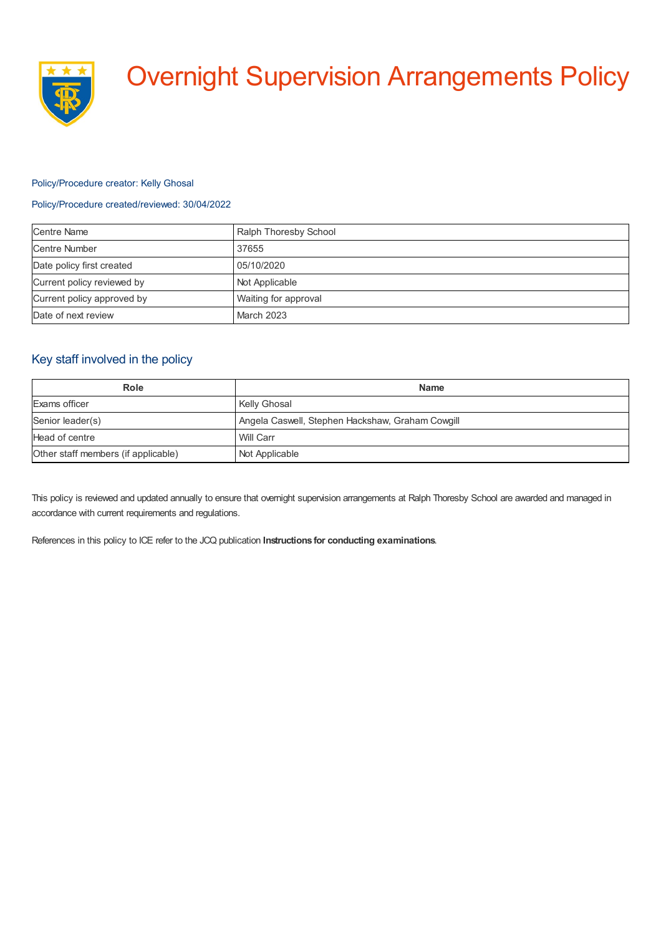

# Overnight Supervision Arrangements Policy

### Policy/Procedure creator: Kelly Ghosal

## Policy/Procedure created/reviewed: 30/04/2022

| <b>Centre Name</b>         | Ralph Thoresby School |
|----------------------------|-----------------------|
| <b>Centre Number</b>       | 37655                 |
| Date policy first created  | 05/10/2020            |
| Current policy reviewed by | Not Applicable        |
| Current policy approved by | Waiting for approval  |
| Date of next review        | March 2023            |

## Key staff involved in the policy

| <b>Role</b>                         | <b>Name</b>                                      |
|-------------------------------------|--------------------------------------------------|
| Exams officer                       | Kelly Ghosal                                     |
| Senior leader(s)                    | Angela Caswell, Stephen Hackshaw, Graham Cowgill |
| Head of centre                      | Will Carr                                        |
| Other staff members (if applicable) | Not Applicable                                   |

This policy is reviewed and updated annually to ensure that overnight supervision arrangements at Ralph Thoresby School are awarded and managed in accordance with current requirements and regulations.

References in this policy to ICE refer to the JCQ publication **Instructions for conducting examinations**.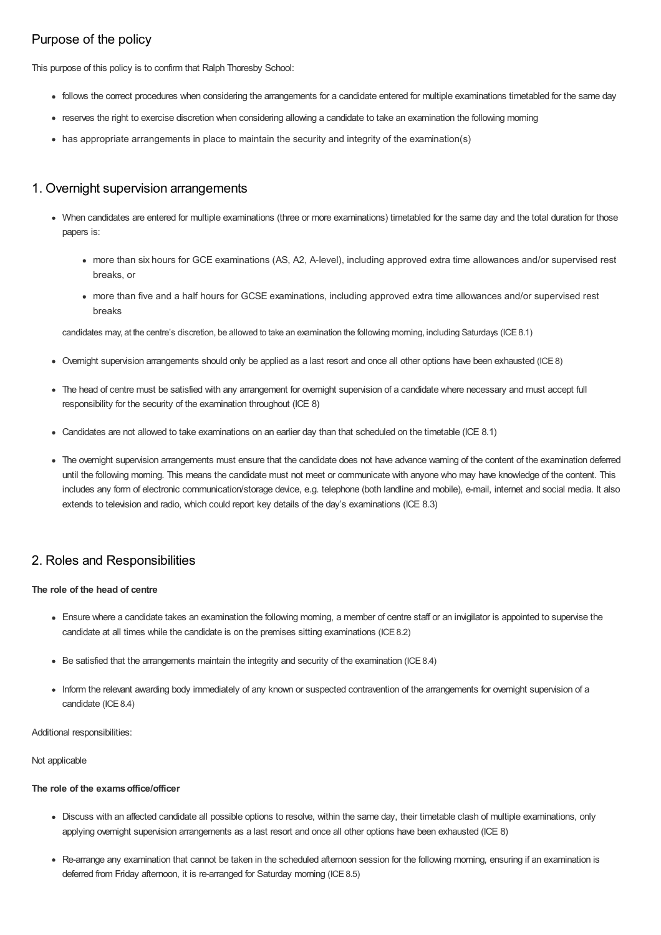# Purpose of the policy

This purpose of this policy is to confirm that Ralph Thoresby School:

- follows the correct procedures when considering the arrangements for a candidate entered for multiple examinations timetabled for the same day
- reserves the right to exercise discretion when considering allowing a candidate to take an examination the following morning
- has appropriate arrangements in place to maintain the security and integrity of the examination(s)

## 1. Overnight supervision arrangements

- When candidates are entered for multiple examinations (three or more examinations) timetabled for the same day and the total duration for those papers is:
	- more than six hours for GCE examinations (AS, A2, A-level), including approved extra time allowances and/or supervised rest breaks, or
	- more than five and a half hours for GCSE examinations, including approved extra time allowances and/or supervised rest breaks

candidates may, at the centre's discretion, be allowed to take an examination the following morning, including Saturdays (ICE8.1)

- Overnight supervision arrangements should only be applied as a last resort and once all other options have been exhausted (ICE8)
- The head of centre must be satisfied with any arrangement for overnight supervision of a candidate where necessary and must accept full responsibility for the security of the examination throughout (ICE 8)
- Candidates are not allowed to take examinations on an earlier day than that scheduled on the timetable (ICE 8.1)
- The overnight supervision arrangements must ensure that the candidate does not have advance warning of the content of the examination deferred until the following morning. This means the candidate must not meet or communicate with anyone who may have knowledge of the content. This includes any form of electronic communication/storage device, e.g. telephone (both landline and mobile), e-mail, internet and social media. It also extends to television and radio, which could report key details of the day's examinations (ICE 8.3)

## 2. Roles and Responsibilities

#### **The role of the head of centre**

- Ensure where a candidate takes an examination the following morning, a member of centre staff or an invigilator is appointed to supervise the candidate at all times while the candidate is on the premises sitting examinations (ICE8.2)
- Be satisfied that the arrangements maintain the integrity and security of the examination (ICE8.4)
- Inform the relevant awarding body immediately of any known or suspected contravention of the arrangements for overnight supervision of a candidate (ICE 8.4)

Additional responsibilities:

Not applicable

### **The role of the examsoffice/officer**

- Discuss with an affected candidate all possible options to resolve, within the same day, their timetable clash of multiple examinations, only applying overnight supervision arrangements as a last resort and once all other options have been exhausted (ICE 8)
- Re-arrange any examination that cannot be taken in the scheduled afternoon session for the following morning, ensuring if an examination is deferred from Friday afternoon, it is re-arranged for Saturday morning (ICE 8.5)